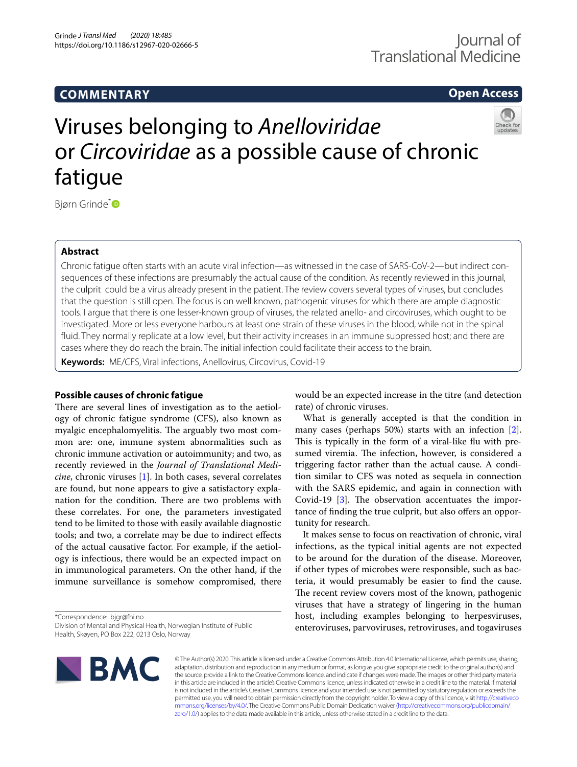# **COMMENTARY**

# **Open Access**

# Viruses belonging to *Anelloviridae* or *Circoviridae* as a possible cause of chronic fatigue

Bjørn Grinde[\\*](http://orcid.org/0000-0003-1216-2851)<sup>D</sup>

# **Abstract**

Chronic fatigue often starts with an acute viral infection—as witnessed in the case of SARS-CoV-2—but indirect consequences of these infections are presumably the actual cause of the condition. As recently reviewed in this journal, the culprit could be a virus already present in the patient. The review covers several types of viruses, but concludes that the question is still open. The focus is on well known, pathogenic viruses for which there are ample diagnostic tools. I argue that there is one lesser-known group of viruses, the related anello- and circoviruses, which ought to be investigated. More or less everyone harbours at least one strain of these viruses in the blood, while not in the spinal fuid. They normally replicate at a low level, but their activity increases in an immune suppressed host; and there are cases where they do reach the brain. The initial infection could facilitate their access to the brain.

**Keywords:** ME/CFS, Viral infections, Anellovirus, Circovirus, Covid-19

# **Possible causes of chronic fatigue**

There are several lines of investigation as to the aetiology of chronic fatigue syndrome (CFS), also known as myalgic encephalomyelitis. The arguably two most common are: one, immune system abnormalities such as chronic immune activation or autoimmunity; and two, as recently reviewed in the *Journal of Translational Medicine*, chronic viruses [[1](#page-2-0)]. In both cases, several correlates are found, but none appears to give a satisfactory explanation for the condition. There are two problems with these correlates. For one, the parameters investigated tend to be limited to those with easily available diagnostic tools; and two, a correlate may be due to indirect efects of the actual causative factor. For example, if the aetiology is infectious, there would be an expected impact on in immunological parameters. On the other hand, if the immune surveillance is somehow compromised, there

\*Correspondence: bjgr@fhi.no

Division of Mental and Physical Health, Norwegian Institute of Public Health, Skøyen, PO Box 222, 0213 Oslo, Norway

would be an expected increase in the titre (and detection rate) of chronic viruses.

What is generally accepted is that the condition in many cases (perhaps 50%) starts with an infection [\[2](#page-2-1)]. This is typically in the form of a viral-like flu with presumed viremia. The infection, however, is considered a triggering factor rather than the actual cause. A condition similar to CFS was noted as sequela in connection with the SARS epidemic, and again in connection with Covid-19  $[3]$  $[3]$ . The observation accentuates the importance of finding the true culprit, but also offers an opportunity for research.

It makes sense to focus on reactivation of chronic, viral infections, as the typical initial agents are not expected to be around for the duration of the disease. Moreover, if other types of microbes were responsible, such as bacteria, it would presumably be easier to fnd the cause. The recent review covers most of the known, pathogenic viruses that have a strategy of lingering in the human host, including examples belonging to herpesviruses, enteroviruses, parvoviruses, retroviruses, and togaviruses



© The Author(s) 2020. This article is licensed under a Creative Commons Attribution 4.0 International License, which permits use, sharing, adaptation, distribution and reproduction in any medium or format, as long as you give appropriate credit to the original author(s) and the source, provide a link to the Creative Commons licence, and indicate if changes were made. The images or other third party material in this article are included in the article's Creative Commons licence, unless indicated otherwise in a credit line to the material. If material is not included in the article's Creative Commons licence and your intended use is not permitted by statutory regulation or exceeds the permitted use, you will need to obtain permission directly from the copyright holder. To view a copy of this licence, visit [http://creativeco](http://creativecommons.org/licenses/by/4.0/) [mmons.org/licenses/by/4.0/.](http://creativecommons.org/licenses/by/4.0/) The Creative Commons Public Domain Dedication waiver ([http://creativecommons.org/publicdomain/](http://creativecommons.org/publicdomain/zero/1.0/) [zero/1.0/\)](http://creativecommons.org/publicdomain/zero/1.0/) applies to the data made available in this article, unless otherwise stated in a credit line to the data.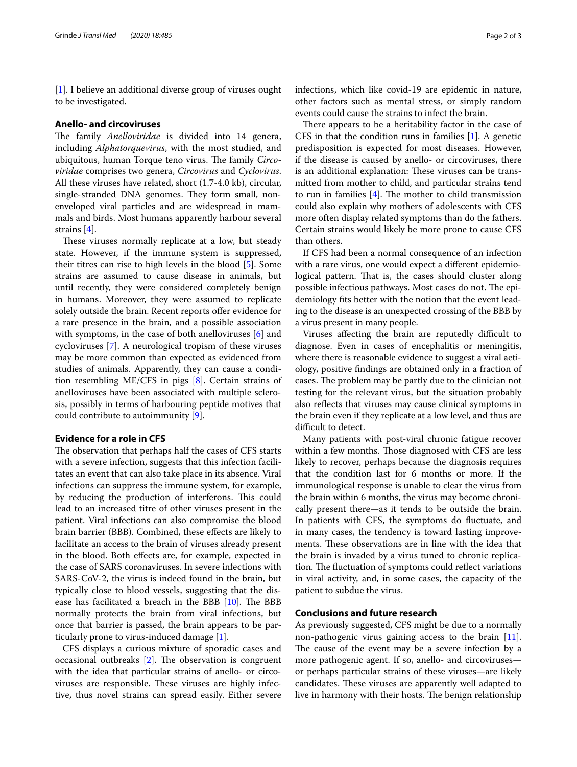[[1\]](#page-2-0). I believe an additional diverse group of viruses ought to be investigated.

#### **Anello‑ and circoviruses**

The family *Anelloviridae* is divided into 14 genera, including *Alphatorquevirus*, with the most studied, and ubiquitous, human Torque teno virus. The family *Circoviridae* comprises two genera, *Circovirus* and *Cyclovirus*. All these viruses have related, short (1.7-4.0 kb), circular, single-stranded DNA genomes. They form small, nonenveloped viral particles and are widespread in mammals and birds. Most humans apparently harbour several strains [\[4](#page-2-3)].

These viruses normally replicate at a low, but steady state. However, if the immune system is suppressed, their titres can rise to high levels in the blood [\[5](#page-2-4)]. Some strains are assumed to cause disease in animals, but until recently, they were considered completely benign in humans. Moreover, they were assumed to replicate solely outside the brain. Recent reports offer evidence for a rare presence in the brain, and a possible association with symptoms, in the case of both anelloviruses [\[6](#page-2-5)] and cycloviruses [\[7\]](#page-2-6). A neurological tropism of these viruses may be more common than expected as evidenced from studies of animals. Apparently, they can cause a condition resembling ME/CFS in pigs [[8\]](#page-2-7). Certain strains of anelloviruses have been associated with multiple sclerosis, possibly in terms of harbouring peptide motives that could contribute to autoimmunity [[9\]](#page-2-8).

# **Evidence for a role in CFS**

The observation that perhaps half the cases of CFS starts with a severe infection, suggests that this infection facilitates an event that can also take place in its absence. Viral infections can suppress the immune system, for example, by reducing the production of interferons. This could lead to an increased titre of other viruses present in the patient. Viral infections can also compromise the blood brain barrier (BBB). Combined, these efects are likely to facilitate an access to the brain of viruses already present in the blood. Both efects are, for example, expected in the case of SARS coronaviruses. In severe infections with SARS-CoV-2, the virus is indeed found in the brain, but typically close to blood vessels, suggesting that the disease has facilitated a breach in the BBB  $[10]$  $[10]$ . The BBB normally protects the brain from viral infections, but once that barrier is passed, the brain appears to be particularly prone to virus-induced damage [[1\]](#page-2-0).

CFS displays a curious mixture of sporadic cases and occasional outbreaks  $[2]$  $[2]$ . The observation is congruent with the idea that particular strains of anello- or circoviruses are responsible. These viruses are highly infective, thus novel strains can spread easily. Either severe infections, which like covid-19 are epidemic in nature, other factors such as mental stress, or simply random events could cause the strains to infect the brain.

There appears to be a heritability factor in the case of CFS in that the condition runs in families [\[1](#page-2-0)]. A genetic predisposition is expected for most diseases. However, if the disease is caused by anello- or circoviruses, there is an additional explanation: These viruses can be transmitted from mother to child, and particular strains tend to run in families  $[4]$  $[4]$  $[4]$ . The mother to child transmission could also explain why mothers of adolescents with CFS more often display related symptoms than do the fathers. Certain strains would likely be more prone to cause CFS than others.

If CFS had been a normal consequence of an infection with a rare virus, one would expect a diferent epidemiological pattern. That is, the cases should cluster along possible infectious pathways. Most cases do not. The epidemiology fts better with the notion that the event leading to the disease is an unexpected crossing of the BBB by a virus present in many people.

Viruses affecting the brain are reputedly difficult to diagnose. Even in cases of encephalitis or meningitis, where there is reasonable evidence to suggest a viral aetiology, positive fndings are obtained only in a fraction of cases. The problem may be partly due to the clinician not testing for the relevant virus, but the situation probably also refects that viruses may cause clinical symptoms in the brain even if they replicate at a low level, and thus are difficult to detect.

Many patients with post-viral chronic fatigue recover within a few months. Those diagnosed with CFS are less likely to recover, perhaps because the diagnosis requires that the condition last for 6 months or more. If the immunological response is unable to clear the virus from the brain within 6 months, the virus may become chronically present there—as it tends to be outside the brain. In patients with CFS, the symptoms do fuctuate, and in many cases, the tendency is toward lasting improvements. These observations are in line with the idea that the brain is invaded by a virus tuned to chronic replication. The fluctuation of symptoms could reflect variations in viral activity, and, in some cases, the capacity of the patient to subdue the virus.

## **Conclusions and future research**

As previously suggested, CFS might be due to a normally non-pathogenic virus gaining access to the brain [\[11](#page-2-10)]. The cause of the event may be a severe infection by a more pathogenic agent. If so, anello- and circoviruses or perhaps particular strains of these viruses—are likely candidates. These viruses are apparently well adapted to live in harmony with their hosts. The benign relationship